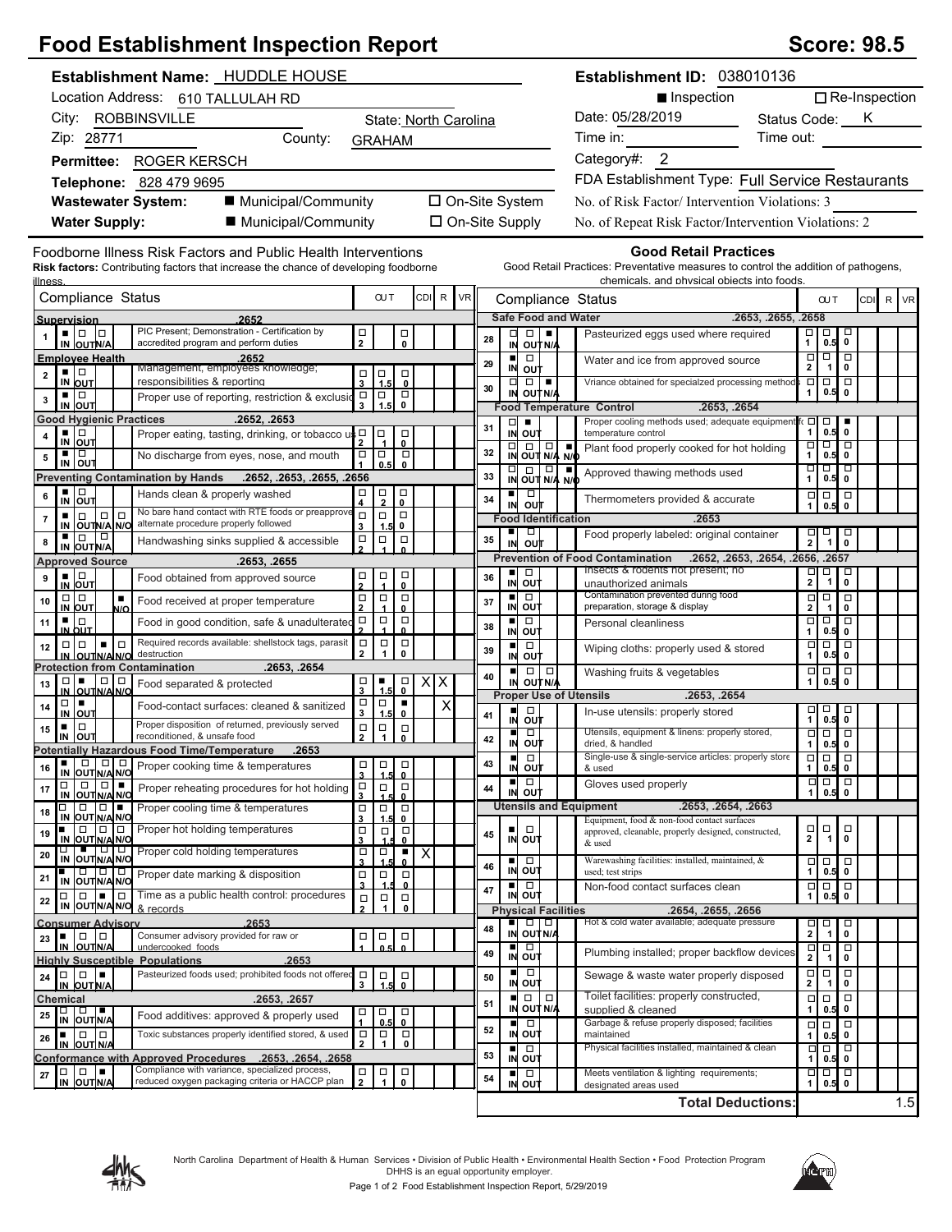## **Food Establishment Inspection Report Score: 98.5** Score: 98.5

| Establishment Name: HUDDLE HOUSE                                                                                                                                               |                                            |                                             |                                                    |                         |   |                       |                |                                           | Establishment ID: 038010136 |                                                      |                                                                                                                                                                   |                                        |                             |                                      |                      |     |
|--------------------------------------------------------------------------------------------------------------------------------------------------------------------------------|--------------------------------------------|---------------------------------------------|----------------------------------------------------|-------------------------|---|-----------------------|----------------|-------------------------------------------|-----------------------------|------------------------------------------------------|-------------------------------------------------------------------------------------------------------------------------------------------------------------------|----------------------------------------|-----------------------------|--------------------------------------|----------------------|-----|
| Location Address: 610 TALLULAH RD                                                                                                                                              |                                            |                                             |                                                    |                         |   |                       |                |                                           |                             |                                                      | Inspection                                                                                                                                                        |                                        |                             |                                      | $\Box$ Re-Inspection |     |
| City: ROBBINSVILLE                                                                                                                                                             |                                            |                                             |                                                    |                         |   | State: North Carolina |                |                                           |                             |                                                      | Date: 05/28/2019                                                                                                                                                  | Status Code: K                         |                             |                                      |                      |     |
| Zip: 28771<br>County:                                                                                                                                                          |                                            |                                             | <b>GRAHAM</b>                                      |                         |   |                       |                |                                           |                             | Time in:                                             | Time out:                                                                                                                                                         |                                        |                             |                                      |                      |     |
| Permittee: ROGER KERSCH                                                                                                                                                        |                                            |                                             |                                                    |                         |   |                       |                |                                           |                             | Category#: 2                                         |                                                                                                                                                                   |                                        |                             |                                      |                      |     |
| Telephone: 828 479 9695                                                                                                                                                        |                                            |                                             |                                                    |                         |   |                       |                |                                           |                             | FDA Establishment Type: Full Service Restaurants     |                                                                                                                                                                   |                                        |                             |                                      |                      |     |
| ■ Municipal/Community<br><b>Wastewater System:</b>                                                                                                                             | □ On-Site System                           |                                             |                                                    |                         |   |                       |                |                                           |                             | No. of Risk Factor/Intervention Violations: 3        |                                                                                                                                                                   |                                        |                             |                                      |                      |     |
| ■ Municipal/Community<br><b>Water Supply:</b>                                                                                                                                  | □ On-Site Supply                           |                                             |                                                    |                         |   |                       |                |                                           |                             | No. of Repeat Risk Factor/Intervention Violations: 2 |                                                                                                                                                                   |                                        |                             |                                      |                      |     |
|                                                                                                                                                                                |                                            |                                             |                                                    |                         |   |                       |                |                                           |                             |                                                      |                                                                                                                                                                   |                                        |                             |                                      |                      |     |
| Foodborne Illness Risk Factors and Public Health Interventions<br><b>Risk factors:</b> Contributing factors that increase the chance of developing foodborne<br><u>illness</u> |                                            |                                             |                                                    |                         |   |                       |                |                                           |                             |                                                      | <b>Good Retail Practices</b><br>Good Retail Practices: Preventative measures to control the addition of pathogens,<br>chemicals. and physical objects into foods. |                                        |                             |                                      |                      |     |
| Compliance Status                                                                                                                                                              |                                            |                                             | <b>OUT</b>                                         | <b>CDI</b>              | R | <b>VR</b>             |                |                                           |                             |                                                      | Compliance Status                                                                                                                                                 |                                        | <b>OUT</b>                  |                                      | CDI R VR             |     |
| Supervision<br>2652<br>PIC Present; Demonstration - Certification by<br>$\blacksquare$   $\blacksquare$   $\blacksquare$                                                       |                                            |                                             |                                                    |                         |   |                       |                | $\Box$                                    |                             |                                                      | <b>Safe Food and Water</b><br>.2653, .2655, .2658                                                                                                                 | □                                      | □                           | □                                    |                      |     |
| IN OUTN/A<br>accredited program and perform duties                                                                                                                             | $\frac{\Box}{2}$                           |                                             | $\frac{\Box}{\mathbf{0}}$                          |                         |   | 28                    | ᄆ              | IN OUT N/A                                | ٠                           |                                                      | Pasteurized eggs used where required                                                                                                                              | $\mathbf{1}$                           |                             | $0.5$ 0                              |                      |     |
| <b>Employee Health</b><br>.2652<br>Management, employees knowledge;<br>▪ Ⅰ□                                                                                                    |                                            |                                             |                                                    |                         |   | 29                    | $\blacksquare$ | $\Box$<br>IN OUT                          |                             |                                                      | Water and ice from approved source                                                                                                                                | $\overline{\square}$<br>$\mathbf{2}$   | $\Box$                      | । व<br>1 <sup>1</sup><br>$\mathbf 0$ |                      |     |
| 2<br>responsibilities & reporting<br>IN OUT                                                                                                                                    | $\Box$<br>$\overline{\mathbf{3}}$          | $\frac{1}{1.5}$                             | $\Box$<br>$\mathbf 0$                              |                         |   | 30                    | $\Box$         | $\Box$                                    | ٠                           |                                                      | Vriance obtained for specialzed processing method                                                                                                                 | Ξ<br>1                                 | 0.5                         | $\Box$ $\Box$<br>$\mathbf 0$         |                      |     |
| ▪ □<br>Proper use of reporting, restriction & exclusio<br>3<br>IN OUT                                                                                                          | $\Box$                                     | $\Box$<br>1.5                               | $\overline{\mathsf{P}}$                            |                         |   |                       |                | IN OUT N/A                                |                             |                                                      | <b>Food Temperature Control</b><br>.2653, .2654                                                                                                                   |                                        |                             |                                      |                      |     |
| <b>Good Hygienic Practices</b><br>.2652, .2653                                                                                                                                 |                                            |                                             |                                                    |                         |   | 31                    | $\Box$         | п                                         |                             |                                                      | Proper cooling methods used; adequate equipment                                                                                                                   | $\Box$<br>$\mathbf{1}$                 | $\Box$                      | $0.5$ 0                              |                      |     |
| ▪ │□<br>Proper eating, tasting, drinking, or tobacco $us \frac{\Box}{2}$<br>4<br>IN OUT                                                                                        |                                            | $\Box$                                      | $\Box$<br>$\mathbf{0}$                             |                         |   | 32                    | $\Box$         | IN OUT<br>$\Box$                          | $\Box$                      | п                                                    | temperature control<br>Plant food properly cooked for hot holding                                                                                                 | □                                      |                             | o 1 o                                |                      |     |
| ٠<br>$\Box$<br>No discharge from eyes, nose, and mouth<br>5<br>IN OUT                                                                                                          | $\Box$                                     | $\Box$<br>0.5                               | $\Box$<br>$\mathbf{0}$                             |                         |   |                       |                | IN OUT N/A N/C                            |                             |                                                      | Approved thawing methods used                                                                                                                                     | $\mathbf{1}$<br>듸                      | m                           | 0.5 0<br>□                           |                      |     |
| Preventing Contamination by Hands .2652, .2653, .2655, .2656                                                                                                                   |                                            |                                             |                                                    |                         |   | 33                    |                | $\frac{1}{N}$ $\frac{1}{N}$ $\frac{1}{N}$ |                             | N/                                                   |                                                                                                                                                                   | $\mathbf{1}$                           |                             | 0.5 0                                |                      |     |
| $\frac{1}{N}$ out<br>Hands clean & properly washed<br>6<br>No bare hand contact with RTE foods or preapprove                                                                   | $\frac{\Box}{4}$                           | $\frac{\Box}{2}$                            | $\begin{matrix} \square \\ 0 \end{matrix}$         |                         |   | 34                    |                | ■□□<br>IN OUT                             |                             |                                                      | Thermometers provided & accurate                                                                                                                                  | $\Box$<br>$\mathbf{1}$                 | $\Box$<br>0.5               | $\Box$<br>$\mathbf 0$                |                      |     |
| $\Box \Box$<br>$\Box$<br>٠<br>7<br>alternate procedure properly followed<br>IN OUTN/A N/O                                                                                      | $\Box$<br>3                                | $\Box$<br>1.5                               | $\Box$<br>0                                        |                         |   |                       | ш              | <b>Food Identification</b><br>$\Box$      |                             |                                                      | .2653<br>Food properly labeled: original container                                                                                                                |                                        |                             | $\Box$                               |                      |     |
| ٠<br>0<br>∣□<br>Handwashing sinks supplied & accessible<br>8<br>IN OUT N/A                                                                                                     | $\Box$                                     | $\Box$                                      | $\Box$                                             |                         |   | 35                    | IN             | out                                       |                             |                                                      |                                                                                                                                                                   |                                        | $\frac{1}{2}$ $\frac{1}{1}$ | $\mathbf 0$                          |                      |     |
| <b>Approved Source</b><br>.2653, .2655                                                                                                                                         |                                            |                                             |                                                    |                         |   |                       |                | ■□□                                       |                             |                                                      | <b>Prevention of Food Contamination</b><br>.2652, .2653, .2654, .2656, .2657<br>Insects & rodents not present; no                                                 |                                        | $\Box$                      | Д                                    |                      |     |
| $\frac{1}{N}$ out<br>9<br>Food obtained from approved source                                                                                                                   | $\frac{\Box}{2}$                           | $\begin{array}{c} \square \\ 1 \end{array}$ | $\begin{matrix} 1 \\ 0 \end{matrix}$               |                         |   | 36                    |                | IN OUT                                    |                             |                                                      | unauthorized animals                                                                                                                                              | $\frac{1}{2}$                          | $\mathbf{1}$                | $\pmb{0}$                            |                      |     |
| $\Box   \Box$<br>٠<br>10<br>Food received at proper temperature<br>IN OUT<br>N/O                                                                                               | □<br>$\overline{2}$                        | $\Box$                                      | $\Box$<br>$\mathbf{0}$                             |                         |   | 37                    |                | ■□□<br>IN OUT                             |                             |                                                      | Contamination prevented during food<br>preparation, storage & display                                                                                             | $\Box$<br>$\overline{\mathbf{2}}$      | $\Box$<br>$\mathbf{1}$      | $\Box$<br>$\mathbf 0$                |                      |     |
| ▪ Ⅰ□<br>Food in good condition, safe & unadulterated<br>11<br>IN OUT                                                                                                           | $\Box$                                     | $\Box$                                      | $\Box$<br>$\Omega$                                 |                         |   | 38                    |                | $\overline{a}$<br>IN OUT                  |                             |                                                      | Personal cleanliness                                                                                                                                              | Ξ<br>$\mathbf{1}$                      | q                           | □<br>$0.5$ 0                         |                      |     |
| Required records available: shellstock tags, parasit<br>$\Box   \Box$<br>$\Box$<br>$\blacksquare$<br>12<br>destruction                                                         | $\Box$<br>$\mathbf{2}$                     | $\Box$<br>1                                 | $\Box$<br>$\mathbf 0$                              |                         |   | 39                    | $\blacksquare$ | $\Box$                                    |                             |                                                      | Wiping cloths: properly used & stored                                                                                                                             | $\Box$<br>$\mathbf{1}$                 | $\boxed{1}$                 | $\Box$<br>$0.5$ 0                    |                      |     |
| IN OUTNA NO<br><b>Protection from Contamination</b><br>.2653, .2654                                                                                                            |                                            |                                             |                                                    |                         |   |                       | ш              | IN OUT                                    | $\Box   \Box$               |                                                      | Washing fruits & vegetables                                                                                                                                       | $\Box$                                 | $\Box$                      | $\Box$                               |                      |     |
| $\Box   \Box$<br>□□■<br>13<br>Food separated & protected<br>IN OUTNA NO                                                                                                        | □                                          | $\frac{1}{1}$                               | $\begin{matrix} \Box \\ \mathbf{0} \end{matrix}$   | $X$ $X$                 |   | 40                    |                | IN OUTNA                                  |                             |                                                      | <b>Proper Use of Utensils</b><br>.2653, .2654                                                                                                                     | $\mathbf{1}$                           | 0.5                         | $\mathbf 0$                          |                      |     |
| $\Box \mid \blacksquare$<br>Food-contact surfaces: cleaned & sanitized<br>14<br>$\overline{M}$ OUT                                                                             | $\frac{\Box}{3}$                           | $\Box$<br>1.5                               | $\blacksquare$<br>$\mathbf{0}$                     |                         | Χ | 41                    | $\blacksquare$ | $\Box$                                    |                             |                                                      | In-use utensils: properly stored                                                                                                                                  |                                        |                             | 70.50                                |                      |     |
| Proper disposition of returned, previously served<br>$\Box$<br>٠<br>15<br>reconditioned, & unsafe food<br>∣ουτ                                                                 | $\Box$                                     | $\begin{array}{c}\n\Box \\ 1\n\end{array}$  | $_\mathrm{o}^\Box$                                 |                         |   |                       | IN<br>ш        | out<br>$\Box$                             |                             |                                                      | Utensils, equipment & linens: properly stored,                                                                                                                    | □                                      |                             | ० ०                                  |                      |     |
| IN<br><b>Potentially Hazardous Food Time/Temperature</b><br>.2653                                                                                                              | $\mathbf{2}$                               |                                             |                                                    |                         |   | 42                    |                | IN OUT                                    |                             |                                                      | dried. & handled<br>Single-use & single-service articles: properly store                                                                                          | $\mathbf{1}$                           |                             | $0.5$ 0<br>00 O                      |                      |     |
| Proper cooking time & temperatures<br>16<br>IN OUT N/A N/O                                                                                                                     | $\overline{\mathbf{3}}$                    | 1.5                                         | 000<br>$\mathbf{0}$                                |                         |   | 43                    | п              | $\Box$<br>in out                          |                             |                                                      | & used                                                                                                                                                            |                                        |                             | $1 \ 0.5 \ 0$                        |                      |     |
| Π <sub>Π</sub> Π<br><u>Π</u> ΟΠ ΝΙΑ ΝΙΟ<br>Proper reheating procedures for hot holding<br>17                                                                                   | $\begin{array}{c}\n\Box \\ 3\n\end{array}$ | $\Box$                                      | $\begin{array}{c} \square \\ \text{o} \end{array}$ |                         |   | 44                    | $\blacksquare$ | $\Box$<br>IN OUT                          |                             |                                                      | Gloves used properly                                                                                                                                              | $\Box$<br>1                            | $\Box$                      | $\Box$<br>0.5 0                      |                      |     |
| $\Box$ $\Box$<br>$\Box$<br>Proper cooling time & temperatures<br>18                                                                                                            | $\begin{array}{c}\n\Box \\ 3\n\end{array}$ | $\Box$                                      | $\Box$                                             |                         |   |                       |                |                                           |                             |                                                      | <b>Utensils and Equipment</b><br>.2653, .2654, .2663                                                                                                              |                                        |                             |                                      |                      |     |
| IN OUT N/A N/O<br>Proper hot holding temperatures<br>$\Box$<br>00<br>$\blacksquare$<br>19                                                                                      | $\frac{\Box}{3}$                           | 1.5<br>$\Box$                               | $\mathbf{0}$<br>$\Box$                             |                         |   | 45                    |                | $\Box$                                    |                             |                                                      | Equipment, food & non-food contact surfaces<br>approved, cleanable, properly designed, constructed,                                                               | $\frac{\Box}{2}$                       | $\Box$                      | o                                    |                      |     |
| IN OUT N/A N/O<br>1010<br>Proper cold holding temperatures<br>T,<br>20                                                                                                         | $\Box$                                     | $\frac{1}{1.5}$                             | 0<br>$\blacksquare$                                | $\overline{\mathsf{x}}$ |   |                       |                | IN OUT                                    |                             |                                                      | & used                                                                                                                                                            |                                        |                             | 1<br>$\mathbf 0$                     |                      |     |
| IN OUT N/A N/O<br>1010101<br>Proper date marking & disposition                                                                                                                 | 3<br>$\Box$                                | $\Box$                                      | $\mathbf{0}$<br>$\Box$                             |                         |   | 46                    |                | ▪□□<br>IN OUT                             |                             |                                                      | Warewashing facilities: installed, maintained, &<br>used; test strips                                                                                             | $\begin{bmatrix} 1 \\ 1 \end{bmatrix}$ | $\Box$                      | $\Box$<br>0.5 0                      |                      |     |
| 21<br>IN OUTNA NO<br>$\Box$<br>$\Box$ Time as a public health control: procedures<br>ı.<br>$\Box$                                                                              | $\overline{\mathbf{3}}$                    | $\Box$                                      | $\mathbf 0$                                        |                         |   | 47                    | ■∣             | $\Box$<br>IN OUT                          |                             |                                                      | Non-food contact surfaces clean                                                                                                                                   | $\Box$<br>$\mathbf{1}$                 | $\Box$                      | $\Box$<br>$\mathbf 0$<br>0.5         |                      |     |
| 22<br>IN OUT N/A N/O & records                                                                                                                                                 | $\Box$<br>$\overline{2}$                   | 1                                           | $\Box$<br>0                                        |                         |   |                       |                | <b>Physical Facilities</b>                |                             |                                                      | .2654, .2655, .2656                                                                                                                                               |                                        |                             |                                      |                      |     |
| .2653<br><b>Consumer Advisory</b><br>$\Box$<br>Consumer advisory provided for raw or<br>L.                                                                                     | $\Box$                                     | $\Box$                                      |                                                    |                         |   | 48                    | ш              | IN OUT N/A                                | $\Box   \Box$               |                                                      | Hot & cold water available; adequate pressure                                                                                                                     | $\overline{2}$                         | $\Box$<br>$\mathbf{1}$      | Д<br>$\pmb{0}$                       |                      |     |
| 23<br>IN OUTNA<br>undercooked foods                                                                                                                                            |                                            |                                             | $\Box$<br>$\mathbf{0}$                             |                         |   | 49                    |                | ∎⊡<br>IN OUT                              |                             |                                                      | Plumbing installed; proper backflow devices                                                                                                                       | $\frac{\Box}{2}$                       | p                           | □                                    |                      |     |
| <b>Highly Susceptible Populations</b><br>.2653<br>Pasteurized foods used; prohibited foods not offered<br>$\Box$<br>$\Box$<br>▏▆<br>24                                         | $\Box$                                     |                                             |                                                    |                         |   | 50                    |                |                                           |                             |                                                      | Sewage & waste water properly disposed                                                                                                                            |                                        | $\overline{1}$<br>$\Box$    | 0<br>$\Box$                          |                      |     |
| IN OUT N/A                                                                                                                                                                     | 3                                          | $\frac{1}{1.5}$                             | $\begin{matrix} \Box \\ \mathbf{0} \end{matrix}$   |                         |   |                       |                | IL □<br>IN OUT<br>$\Box$                  | σ                           |                                                      | Toilet facilities: properly constructed,                                                                                                                          | $\frac{\Box}{2}$                       | $\mathbf{1}$                | $\pmb{0}$<br>$\Box$                  |                      |     |
| .2653, .2657<br>Chemical<br>□ □ ■<br>IN OUTN/A<br>Food additives: approved & properly used<br>25                                                                               | o                                          | $\Box$                                      | $\overline{0}$                                     |                         |   | 51                    |                | IN OUT N/A                                |                             |                                                      | supplied & cleaned                                                                                                                                                | $\Box$<br>$\mathbf{1}$                 | $\Box$                      | $0.5$ 0                              |                      |     |
| Toxic substances properly identified stored, & used<br>$\Box$ $\Box$<br>٠<br>26                                                                                                | $\Box$                                     | 0.5<br>$\Box$                               | $\Box$                                             |                         |   | 52                    | ш              | $\Box$<br>IN OUT                          |                             |                                                      | Garbage & refuse properly disposed; facilities<br>maintained                                                                                                      | $\Box$<br>$\mathbf{1}$                 | $\Box$                      | $\Box$<br>$\mathbf 0$<br>0.5         |                      |     |
| IN OUT N/A                                                                                                                                                                     | $\mathbf{2}$                               | 1                                           | 0                                                  |                         |   | 53                    | ■              | $\Box$                                    |                             |                                                      | Physical facilities installed, maintained & clean                                                                                                                 | □<br>1                                 |                             | ० १०                                 |                      |     |
| Conformance with Approved Procedures .2653, .2654, .2658<br>Compliance with variance, specialized process,<br>$\Box$<br>▏▆<br>$\Box$<br>27                                     | $\mathop\square\limits_2$                  | $\frac{\Box}{1}$                            | $_{\rm o}^\Box$                                    |                         |   | 54                    |                | IN OUT<br>■□□                             |                             |                                                      | Meets ventilation & lighting requirements;                                                                                                                        |                                        |                             | $0.5$ 0<br>000                       |                      |     |
| reduced oxygen packaging criteria or HACCP plan<br>IN OUTN/A                                                                                                                   |                                            |                                             |                                                    |                         |   |                       |                | IN OUT                                    |                             |                                                      | designated areas used                                                                                                                                             | $\mathbf{1}$                           |                             | $0.5$ 0                              |                      |     |
|                                                                                                                                                                                |                                            |                                             |                                                    |                         |   |                       |                |                                           |                             |                                                      | <b>Total Deductions:</b>                                                                                                                                          |                                        |                             |                                      |                      | 1.5 |